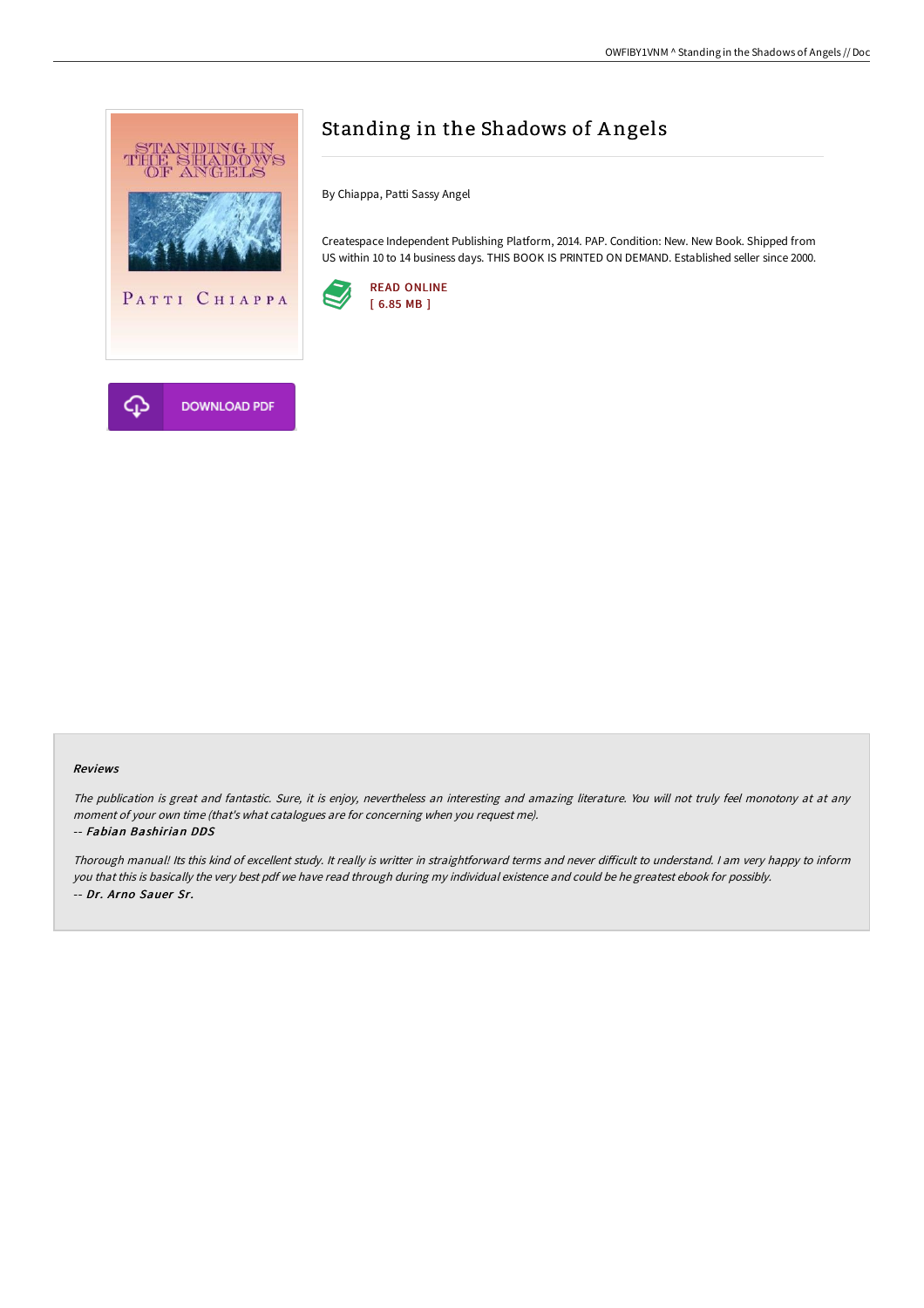

# Standing in the Shadows of Angels

By Chiappa, Patti Sassy Angel

Createspace Independent Publishing Platform, 2014. PAP. Condition: New. New Book. Shipped from US within 10 to 14 business days. THIS BOOK IS PRINTED ON DEMAND. Established seller since 2000.



#### Reviews

The publication is great and fantastic. Sure, it is enjoy, nevertheless an interesting and amazing literature. You will not truly feel monotony at at any moment of your own time (that's what catalogues are for concerning when you request me).

#### -- Fabian Bashirian DDS

Thorough manual! Its this kind of excellent study. It really is writter in straightforward terms and never difficult to understand. I am very happy to inform you that this is basically the very best pdf we have read through during my individual existence and could be he greatest ebook for possibly. -- Dr. Arno Sauer Sr.